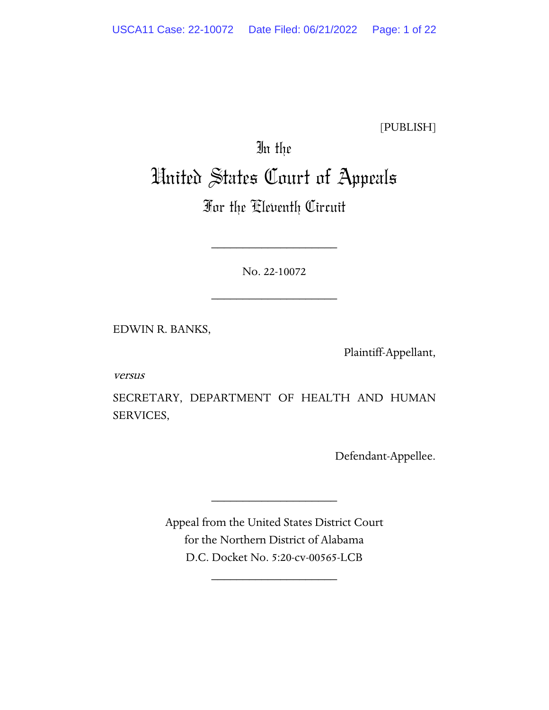[PUBLISH]

# In the United States Court of Appeals

# For the Eleventh Circuit

No. 22-10072

\_\_\_\_\_\_\_\_\_\_\_\_\_\_\_\_\_\_\_\_

\_\_\_\_\_\_\_\_\_\_\_\_\_\_\_\_\_\_\_\_

EDWIN R. BANKS,

Plaintiff-Appellant,

versus

SECRETARY, DEPARTMENT OF HEALTH AND HUMAN SERVICES,

Defendant-Appellee.

Appeal from the United States District Court for the Northern District of Alabama D.C. Docket No. 5:20-cv-00565-LCB

\_\_\_\_\_\_\_\_\_\_\_\_\_\_\_\_\_\_\_\_

\_\_\_\_\_\_\_\_\_\_\_\_\_\_\_\_\_\_\_\_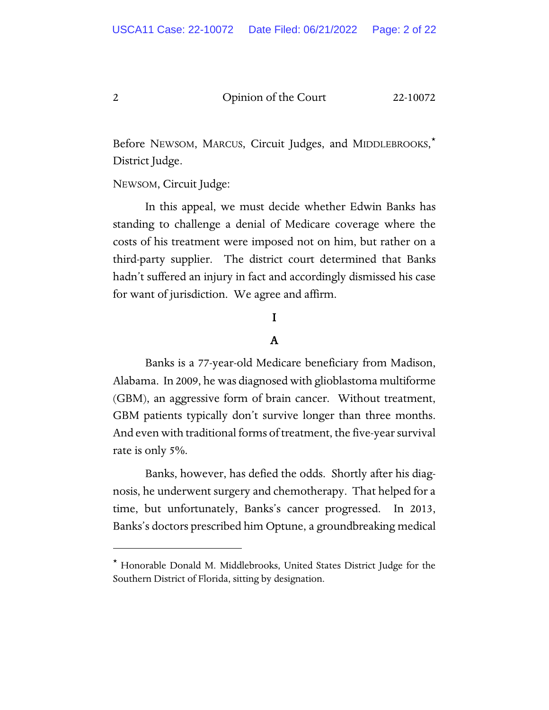Before NEWSOM, MARCUS, Circuit Judges, and MIDDLEBROOKS,[\\*](#page-1-0) District Judge.

NEWSOM, Circuit Judge:

In this appeal, we must decide whether Edwin Banks has standing to challenge a denial of Medicare coverage where the costs of his treatment were imposed not on him, but rather on a third-party supplier. The district court determined that Banks hadn't suffered an injury in fact and accordingly dismissed his case for want of jurisdiction. We agree and affirm.

## I

## A

Banks is a 77-year-old Medicare beneficiary from Madison, Alabama. In 2009, he was diagnosed with glioblastoma multiforme (GBM), an aggressive form of brain cancer. Without treatment, GBM patients typically don't survive longer than three months. And even with traditional forms of treatment, the five-year survival rate is only 5%.

 Banks, however, has defied the odds. Shortly after his diagnosis, he underwent surgery and chemotherapy. That helped for a time, but unfortunately, Banks's cancer progressed. In 2013, Banks's doctors prescribed him Optune, a groundbreaking medical

<span id="page-1-0"></span><sup>\*</sup> Honorable Donald M. Middlebrooks, United States District Judge for the Southern District of Florida, sitting by designation.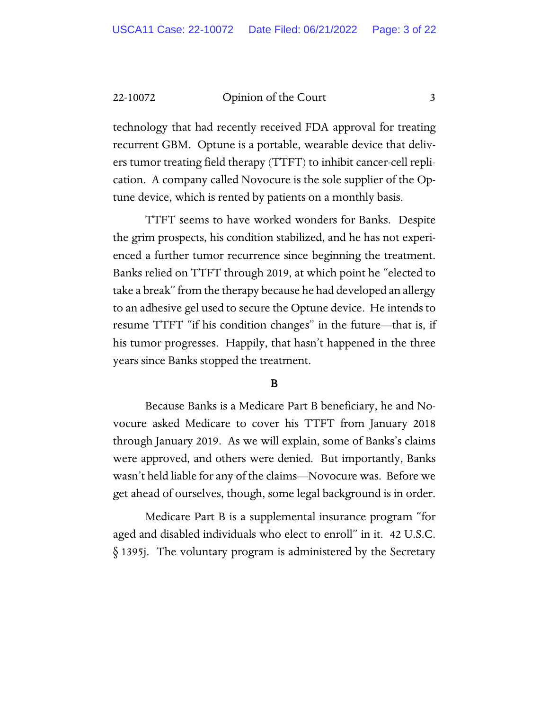technology that had recently received FDA approval for treating recurrent GBM. Optune is a portable, wearable device that delivers tumor treating field therapy (TTFT) to inhibit cancer-cell replication. A company called Novocure is the sole supplier of the Optune device, which is rented by patients on a monthly basis.

TTFT seems to have worked wonders for Banks. Despite the grim prospects, his condition stabilized, and he has not experienced a further tumor recurrence since beginning the treatment. Banks relied on TTFT through 2019, at which point he "elected to take a break" from the therapy because he had developed an allergy to an adhesive gel used to secure the Optune device. He intends to resume TTFT "if his condition changes" in the future—that is, if his tumor progresses. Happily, that hasn't happened in the three years since Banks stopped the treatment.

#### B

Because Banks is a Medicare Part B beneficiary, he and Novocure asked Medicare to cover his TTFT from January 2018 through January 2019. As we will explain, some of Banks's claims were approved, and others were denied. But importantly, Banks wasn't held liable for any of the claims—Novocure was. Before we get ahead of ourselves, though, some legal background is in order.

Medicare Part B is a supplemental insurance program "for aged and disabled individuals who elect to enroll" in it. 42 U.S.C. § 1395j. The voluntary program is administered by the Secretary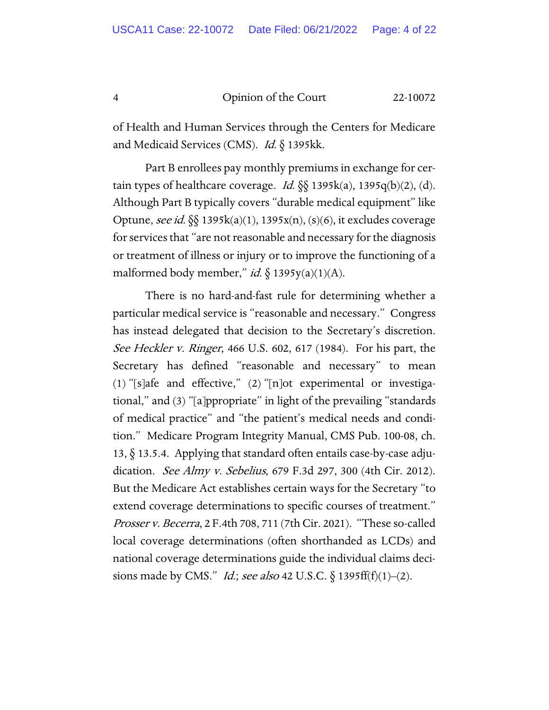of Health and Human Services through the Centers for Medicare and Medicaid Services (CMS). *Id.* § 1395kk.

Part B enrollees pay monthly premiums in exchange for certain types of healthcare coverage. Id.  $\S$ § 1395k(a), 1395q(b)(2), (d). Although Part B typically covers "durable medical equipment" like Optune, see id. §§ 1395k(a)(1), 1395x(n), (s)(6), it excludes coverage for services that "are not reasonable and necessary for the diagnosis or treatment of illness or injury or to improve the functioning of a malformed body member," id.  $\S$  1395y(a)(1)(A).

There is no hard-and-fast rule for determining whether a particular medical service is "reasonable and necessary." Congress has instead delegated that decision to the Secretary's discretion. See Heckler v. Ringer, 466 U.S. 602, 617 (1984). For his part, the Secretary has defined "reasonable and necessary" to mean (1) "[s]afe and effective," (2) "[n]ot experimental or investigational," and (3) "[a]ppropriate" in light of the prevailing "standards of medical practice" and "the patient's medical needs and condition." Medicare Program Integrity Manual, CMS Pub. 100-08, ch. 13, § 13.5.4. Applying that standard often entails case-by-case adjudication. See Almy v. Sebelius, 679 F.3d 297, 300 (4th Cir. 2012). But the Medicare Act establishes certain ways for the Secretary "to extend coverage determinations to specific courses of treatment." Prosser v. Becerra, 2 F.4th 708, 711 (7th Cir. 2021). "These so-called local coverage determinations (often shorthanded as LCDs) and national coverage determinations guide the individual claims decisions made by CMS." *Id.*; see also 42 U.S.C.  $\S$  1395ff(f)(1)–(2).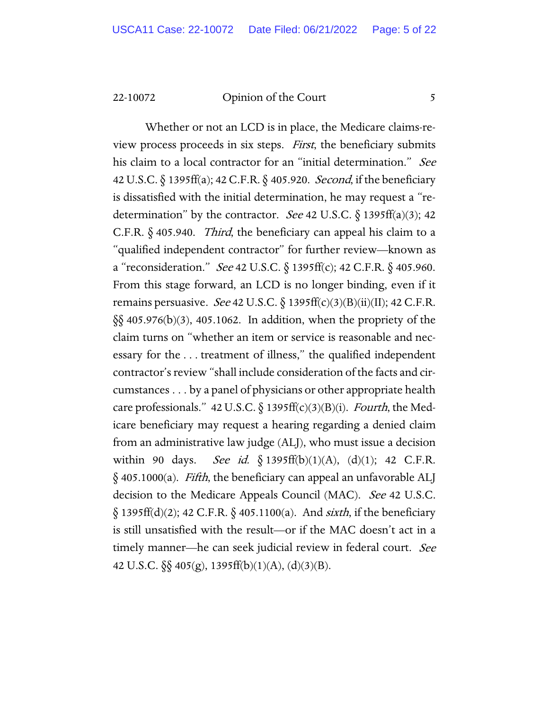Whether or not an LCD is in place, the Medicare claims-review process proceeds in six steps. First, the beneficiary submits his claim to a local contractor for an "initial determination." See 42 U.S.C. § 1395ff(a); 42 C.F.R. § 405.920. Second, if the beneficiary is dissatisfied with the initial determination, he may request a "redetermination" by the contractor. See 42 U.S.C.  $\S$  1395ff(a)(3); 42 C.F.R. § 405.940. Third, the beneficiary can appeal his claim to a "qualified independent contractor" for further review—known as a "reconsideration." See 42 U.S.C. § 1395ff(c); 42 C.F.R. § 405.960. From this stage forward, an LCD is no longer binding, even if it remains persuasive. See 42 U.S.C.  $\S$  1395ff(c)(3)(B)(ii)(II); 42 C.F.R. §§ 405.976(b)(3), 405.1062. In addition, when the propriety of the claim turns on "whether an item or service is reasonable and necessary for the . . . treatment of illness," the qualified independent contractor's review "shall include consideration of the facts and circumstances . . . by a panel of physicians or other appropriate health care professionals." 42 U.S.C. § 1395ff(c)(3)(B)(i). Fourth, the Medicare beneficiary may request a hearing regarding a denied claim from an administrative law judge (ALJ), who must issue a decision within 90 days. See id.  $\S$  1395ff(b)(1)(A), (d)(1); 42 C.F.R.  $\delta$  405.1000(a). *Fifth*, the beneficiary can appeal an unfavorable ALJ decision to the Medicare Appeals Council (MAC). See 42 U.S.C.  $\S$  1395ff(d)(2); 42 C.F.R.  $\S$  405.1100(a). And *sixth*, if the beneficiary is still unsatisfied with the result—or if the MAC doesn't act in a timely manner—he can seek judicial review in federal court. See 42 U.S.C. §§ 405(g), 1395ff(b)(1)(A), (d)(3)(B).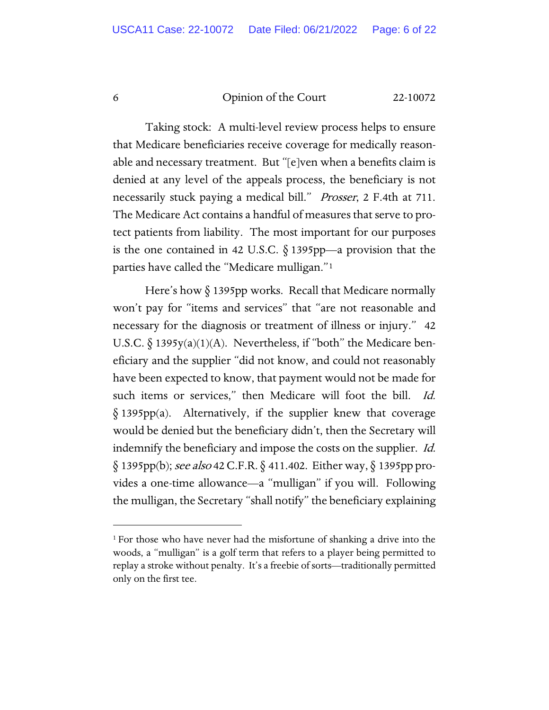Taking stock: A multi-level review process helps to ensure that Medicare beneficiaries receive coverage for medically reasonable and necessary treatment. But "[e]ven when a benefits claim is denied at any level of the appeals process, the beneficiary is not necessarily stuck paying a medical bill." Prosser, 2 F.4th at 711. The Medicare Act contains a handful of measures that serve to protect patients from liability. The most important for our purposes is the one contained in 42 U.S.C.  $\S$  1395pp—a provision that the parties have called the "Medicare mulligan."[1](#page-5-0)

Here's how § 1395pp works. Recall that Medicare normally won't pay for "items and services" that "are not reasonable and necessary for the diagnosis or treatment of illness or injury." 42 U.S.C.  $\S$  1395y(a)(1)(A). Nevertheless, if "both" the Medicare beneficiary and the supplier "did not know, and could not reasonably have been expected to know, that payment would not be made for such items or services," then Medicare will foot the bill. *Id.* § 1395pp(a). Alternatively, if the supplier knew that coverage would be denied but the beneficiary didn't, then the Secretary will indemnify the beneficiary and impose the costs on the supplier. Id. § 1395pp(b); *see also* 42 C.F.R. § 411.402. Either way, § 1395pp provides a one-time allowance—a "mulligan" if you will. Following the mulligan, the Secretary "shall notify" the beneficiary explaining

<span id="page-5-0"></span><sup>1</sup> For those who have never had the misfortune of shanking a drive into the woods, a "mulligan" is a golf term that refers to a player being permitted to replay a stroke without penalty. It's a freebie of sorts—traditionally permitted only on the first tee.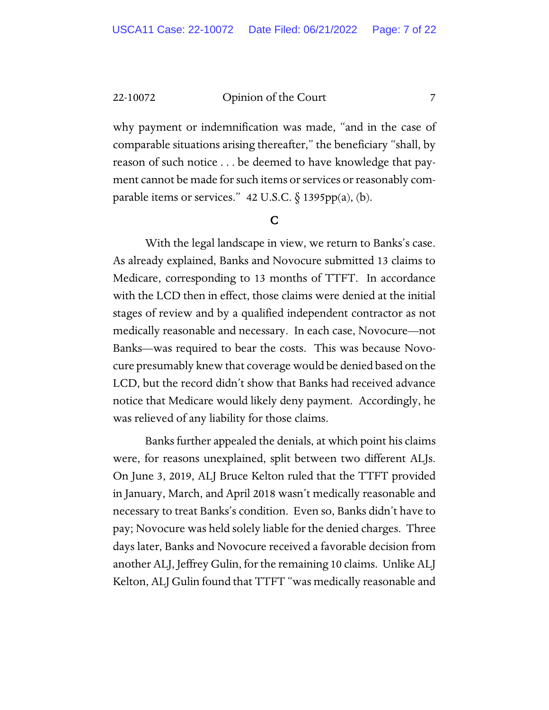why payment or indemnification was made, "and in the case of comparable situations arising thereafter," the beneficiary "shall, by reason of such notice . . . be deemed to have knowledge that payment cannot be made for such items or services or reasonably comparable items or services." 42 U.S.C. § 1395pp(a), (b).

#### C

With the legal landscape in view, we return to Banks's case. As already explained, Banks and Novocure submitted 13 claims to Medicare, corresponding to 13 months of TTFT. In accordance with the LCD then in effect, those claims were denied at the initial stages of review and by a qualified independent contractor as not medically reasonable and necessary. In each case, Novocure—not Banks—was required to bear the costs. This was because Novocure presumably knew that coverage would be denied based on the LCD, but the record didn't show that Banks had received advance notice that Medicare would likely deny payment. Accordingly, he was relieved of any liability for those claims.

Banks further appealed the denials, at which point his claims were, for reasons unexplained, split between two different ALJs. On June 3, 2019, ALJ Bruce Kelton ruled that the TTFT provided in January, March, and April 2018 wasn't medically reasonable and necessary to treat Banks's condition. Even so, Banks didn't have to pay; Novocure was held solely liable for the denied charges. Three days later, Banks and Novocure received a favorable decision from another ALJ, Jeffrey Gulin, for the remaining 10 claims. Unlike ALJ Kelton, ALJ Gulin found that TTFT "was medically reasonable and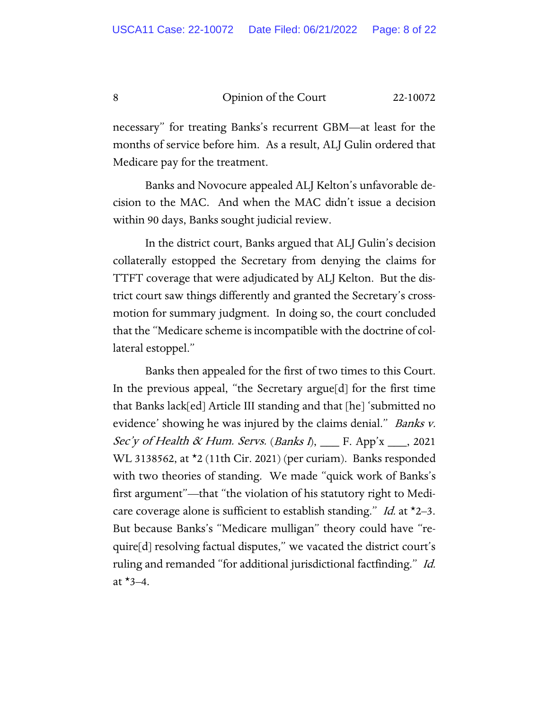necessary" for treating Banks's recurrent GBM—at least for the months of service before him. As a result, ALJ Gulin ordered that Medicare pay for the treatment.

Banks and Novocure appealed ALJ Kelton's unfavorable decision to the MAC. And when the MAC didn't issue a decision within 90 days, Banks sought judicial review.

In the district court, Banks argued that ALJ Gulin's decision collaterally estopped the Secretary from denying the claims for TTFT coverage that were adjudicated by ALJ Kelton. But the district court saw things differently and granted the Secretary's crossmotion for summary judgment. In doing so, the court concluded that the "Medicare scheme is incompatible with the doctrine of collateral estoppel."

Banks then appealed for the first of two times to this Court. In the previous appeal, "the Secretary argue[d] for the first time that Banks lack[ed] Article III standing and that [he] 'submitted no evidence' showing he was injured by the claims denial." *Banks v.* Sec'y of Health & Hum. Servs. (Banks I),  $\Gamma$ . App'x  $\Gamma$ , 2021 WL 3138562, at \*2 (11th Cir. 2021) (per curiam). Banks responded with two theories of standing. We made "quick work of Banks's first argument"—that "the violation of his statutory right to Medicare coverage alone is sufficient to establish standing." Id. at  $\star$ 2–3. But because Banks's "Medicare mulligan" theory could have "require[d] resolving factual disputes," we vacated the district court's ruling and remanded "for additional jurisdictional factfinding." Id. at  $*3-4$ .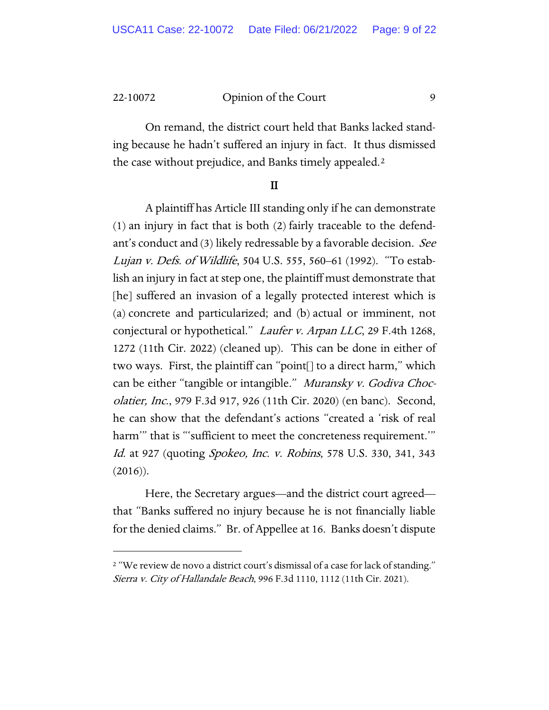On remand, the district court held that Banks lacked standing because he hadn't suffered an injury in fact. It thus dismissed the case without prejudice, and Banks timely appealed.[2](#page-8-0)

#### II

A plaintiff has Article III standing only if he can demonstrate (1) an injury in fact that is both (2) fairly traceable to the defendant's conduct and (3) likely redressable by a favorable decision. See Lujan v. Defs. of Wildlife, 504 U.S. 555, 560–61 (1992). "To establish an injury in fact at step one, the plaintiff must demonstrate that [he] suffered an invasion of a legally protected interest which is (a) concrete and particularized; and (b) actual or imminent, not conjectural or hypothetical." Laufer v. Arpan LLC, 29 F.4th 1268, 1272 (11th Cir. 2022) (cleaned up). This can be done in either of two ways. First, the plaintiff can "point[] to a direct harm," which can be either "tangible or intangible." Muransky v. Godiva Chocolatier, Inc., 979 F.3d 917, 926 (11th Cir. 2020) (en banc). Second, he can show that the defendant's actions "created a 'risk of real harm'" that is "'sufficient to meet the concreteness requirement.'" Id. at 927 (quoting Spokeo, Inc. v. Robins, 578 U.S. 330, 341, 343  $(2016)$ ).

Here, the Secretary argues—and the district court agreed that "Banks suffered no injury because he is not financially liable for the denied claims." Br. of Appellee at 16. Banks doesn't dispute

<span id="page-8-0"></span><sup>&</sup>lt;sup>2</sup> "We review de novo a district court's dismissal of a case for lack of standing." Sierra v. City of Hallandale Beach, 996 F.3d 1110, 1112 (11th Cir. 2021).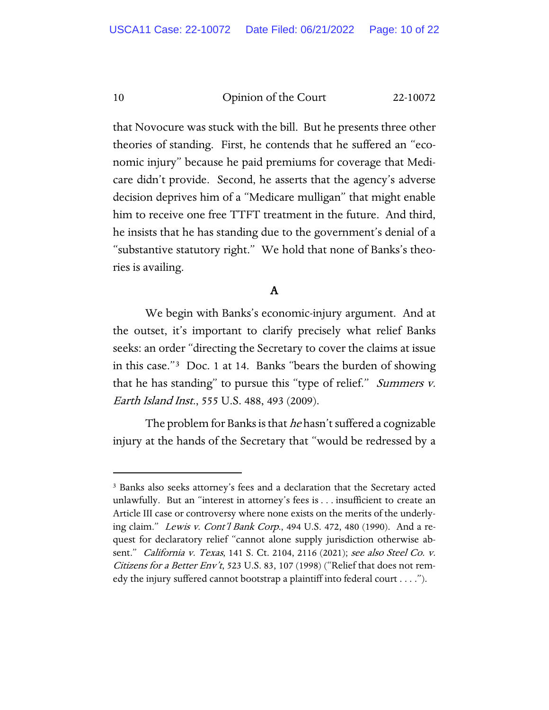that Novocure was stuck with the bill. But he presents three other theories of standing. First, he contends that he suffered an "economic injury" because he paid premiums for coverage that Medicare didn't provide. Second, he asserts that the agency's adverse decision deprives him of a "Medicare mulligan" that might enable him to receive one free TTFT treatment in the future. And third, he insists that he has standing due to the government's denial of a "substantive statutory right." We hold that none of Banks's theories is availing.

#### A

We begin with Banks's economic-injury argument. And at the outset, it's important to clarify precisely what relief Banks seeks: an order "directing the Secretary to cover the claims at issue in this case."[3](#page-9-0) Doc. 1 at 14. Banks "bears the burden of showing that he has standing" to pursue this "type of relief." *Summers v.* Earth Island Inst., 555 U.S. 488, 493 (2009).

The problem for Banks is that *he* hasn't suffered a cognizable injury at the hands of the Secretary that "would be redressed by a

<span id="page-9-0"></span><sup>3</sup> Banks also seeks attorney's fees and a declaration that the Secretary acted unlawfully. But an "interest in attorney's fees is . . . insufficient to create an Article III case or controversy where none exists on the merits of the underlying claim." Lewis v. Cont'l Bank Corp., 494 U.S. 472, 480 (1990). And a request for declaratory relief "cannot alone supply jurisdiction otherwise absent." California v. Texas, 141 S. Ct. 2104, 2116 (2021); see also Steel Co. v. Citizens for a Better Env't, 523 U.S. 83, 107 (1998) ("Relief that does not remedy the injury suffered cannot bootstrap a plaintiff into federal court . . . .").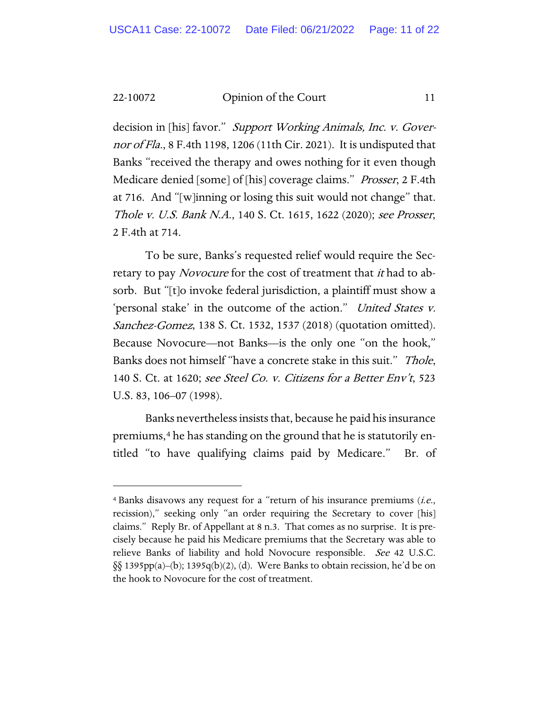decision in [his] favor." Support Working Animals, Inc. v. Governor of Fla., 8 F.4th 1198, 1206 (11th Cir. 2021). It is undisputed that Banks "received the therapy and owes nothing for it even though Medicare denied [some] of [his] coverage claims." *Prosser*, 2 F.4th at 716. And "[w]inning or losing this suit would not change" that. Thole v. U.S. Bank N.A., 140 S. Ct. 1615, 1622 (2020); see Prosser, 2 F.4th at 714.

To be sure, Banks's requested relief would require the Secretary to pay *Novocure* for the cost of treatment that *it* had to absorb. But "[t]o invoke federal jurisdiction, a plaintiff must show a 'personal stake' in the outcome of the action." United States v. Sanchez-Gomez, 138 S. Ct. 1532, 1537 (2018) (quotation omitted). Because Novocure—not Banks—is the only one "on the hook," Banks does not himself "have a concrete stake in this suit." Thole, 140 S. Ct. at 1620; see Steel Co. v. Citizens for a Better Env't, 523 U.S. 83, 106–07 (1998).

Banks neverthelessinsists that, because he paid his insurance premiums,[4](#page-10-0) he has standing on the ground that he is statutorily entitled "to have qualifying claims paid by Medicare." Br. of

<span id="page-10-0"></span> $4$  Banks disavows any request for a "return of his insurance premiums (*i.e.*, recission)," seeking only "an order requiring the Secretary to cover [his] claims." Reply Br. of Appellant at 8 n.3. That comes as no surprise. It is precisely because he paid his Medicare premiums that the Secretary was able to relieve Banks of liability and hold Novocure responsible. See 42 U.S.C. §§ 1395pp(a)–(b); 1395q(b)(2), (d). Were Banks to obtain recission, he'd be on the hook to Novocure for the cost of treatment.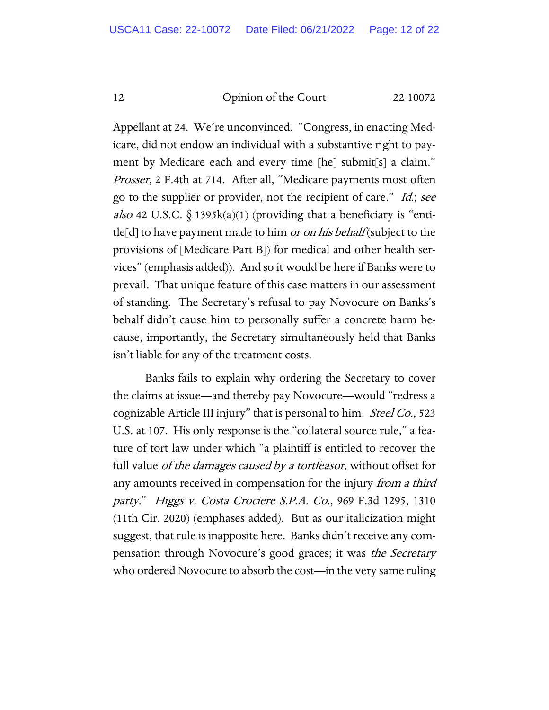Appellant at 24. We're unconvinced. "Congress, in enacting Medicare, did not endow an individual with a substantive right to payment by Medicare each and every time [he] submit[s] a claim." Prosser, 2 F.4th at 714. After all, "Medicare payments most often go to the supplier or provider, not the recipient of care." Id.; see also 42 U.S.C.  $\S$  1395k(a)(1) (providing that a beneficiary is "entitle[d] to have payment made to him *or on his behalf* (subject to the provisions of [Medicare Part B]) for medical and other health services" (emphasis added)). And so it would be here if Banks were to prevail. That unique feature of this case matters in our assessment of standing. The Secretary's refusal to pay Novocure on Banks's behalf didn't cause him to personally suffer a concrete harm because, importantly, the Secretary simultaneously held that Banks isn't liable for any of the treatment costs.

Banks fails to explain why ordering the Secretary to cover the claims at issue—and thereby pay Novocure—would "redress a cognizable Article III injury" that is personal to him. *Steel Co.*, 523 U.S. at 107. His only response is the "collateral source rule," a feature of tort law under which "a plaintiff is entitled to recover the full value *of the damages caused by a tortfeasor*, without offset for any amounts received in compensation for the injury from a third party." Higgs v. Costa Crociere S.P.A. Co., 969 F.3d 1295, 1310 (11th Cir. 2020) (emphases added). But as our italicization might suggest, that rule is inapposite here. Banks didn't receive any compensation through Novocure's good graces; it was the Secretary who ordered Novocure to absorb the cost—in the very same ruling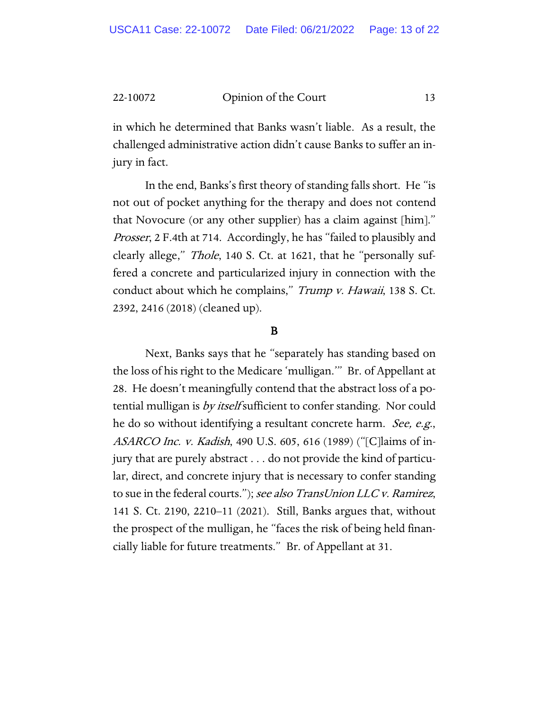in which he determined that Banks wasn't liable. As a result, the challenged administrative action didn't cause Banks to suffer an injury in fact.

In the end, Banks's first theory of standing falls short. He "is not out of pocket anything for the therapy and does not contend that Novocure (or any other supplier) has a claim against [him]." Prosser, 2 F.4th at 714. Accordingly, he has "failed to plausibly and clearly allege," *Thole*, 140 S. Ct. at 1621, that he "personally suffered a concrete and particularized injury in connection with the conduct about which he complains," Trump v. Hawaii, 138 S. Ct. 2392, 2416 (2018) (cleaned up).

#### B

Next, Banks says that he "separately has standing based on the loss of his right to the Medicare 'mulligan.'" Br. of Appellant at 28. He doesn't meaningfully contend that the abstract loss of a potential mulligan is *by itself* sufficient to confer standing. Nor could he do so without identifying a resultant concrete harm. *See, e.g.*, ASARCO Inc. v. Kadish, 490 U.S. 605, 616 (1989) ("[C]laims of injury that are purely abstract . . . do not provide the kind of particular, direct, and concrete injury that is necessary to confer standing to sue in the federal courts."); see also TransUnion LLC v. Ramirez, 141 S. Ct. 2190, 2210–11 (2021). Still, Banks argues that, without the prospect of the mulligan, he "faces the risk of being held financially liable for future treatments." Br. of Appellant at 31.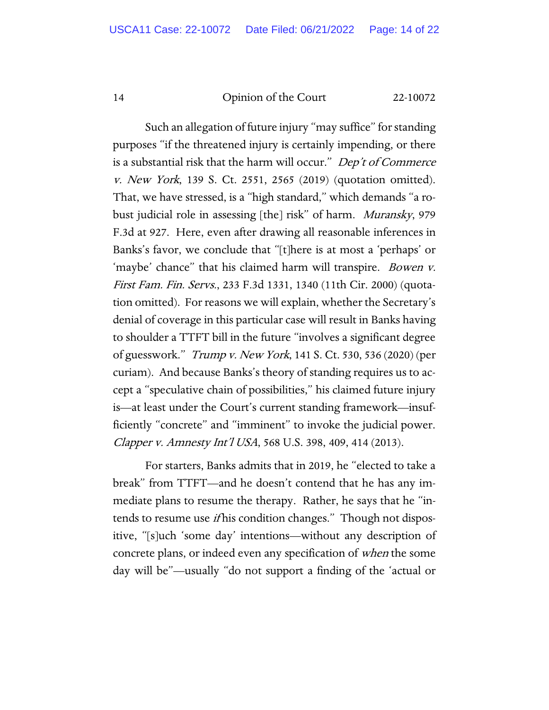Such an allegation of future injury "may suffice" for standing purposes "if the threatened injury is certainly impending, or there is a substantial risk that the harm will occur." Dep't of Commerce v. New York, 139 S. Ct. 2551, 2565 (2019) (quotation omitted). That, we have stressed, is a "high standard," which demands "a robust judicial role in assessing [the] risk" of harm. Muransky, 979 F.3d at 927. Here, even after drawing all reasonable inferences in Banks's favor, we conclude that "[t]here is at most a 'perhaps' or 'maybe' chance" that his claimed harm will transpire. *Bowen v.* First Fam. Fin. Servs., 233 F.3d 1331, 1340 (11th Cir. 2000) (quotation omitted). For reasons we will explain, whether the Secretary's denial of coverage in this particular case will result in Banks having to shoulder a TTFT bill in the future "involves a significant degree of guesswork." Trump v. New York, 141 S. Ct. 530, 536 (2020) (per curiam). And because Banks's theory of standing requires us to accept a "speculative chain of possibilities," his claimed future injury is—at least under the Court's current standing framework—insufficiently "concrete" and "imminent" to invoke the judicial power. Clapper v. Amnesty Int'l USA, 568 U.S. 398, 409, 414 (2013).

For starters, Banks admits that in 2019, he "elected to take a break" from TTFT—and he doesn't contend that he has any immediate plans to resume the therapy. Rather, he says that he "intends to resume use *if* his condition changes." Though not dispositive, "[s]uch 'some day' intentions—without any description of concrete plans, or indeed even any specification of when the some day will be"—usually "do not support a finding of the 'actual or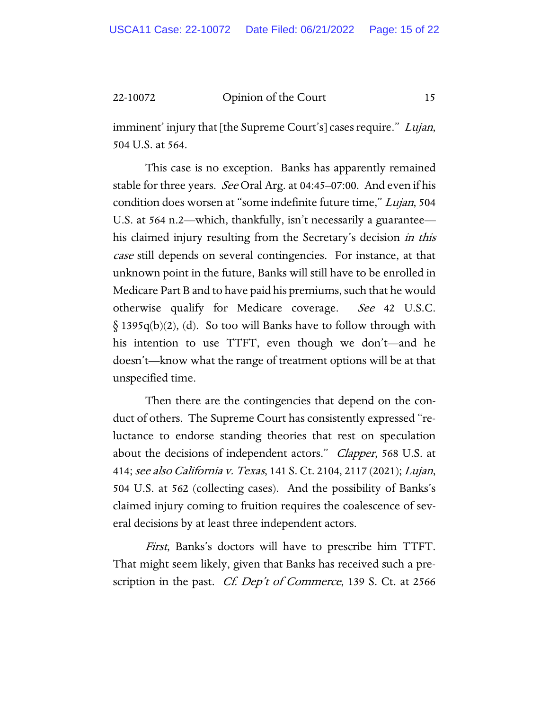imminent' injury that [the Supreme Court's] cases require." Lujan, 504 U.S. at 564.

This case is no exception. Banks has apparently remained stable for three years. *See* Oral Arg. at 04:45–07:00. And even if his condition does worsen at "some indefinite future time," Lujan, 504 U.S. at 564 n.2—which, thankfully, isn't necessarily a guarantee his claimed injury resulting from the Secretary's decision in this case still depends on several contingencies. For instance, at that unknown point in the future, Banks will still have to be enrolled in Medicare Part B and to have paid his premiums, such that he would otherwise qualify for Medicare coverage. See 42 U.S.C.  $\S$  1395q(b)(2), (d). So too will Banks have to follow through with his intention to use TTFT, even though we don't—and he doesn't—know what the range of treatment options will be at that unspecified time.

Then there are the contingencies that depend on the conduct of others. The Supreme Court has consistently expressed "reluctance to endorse standing theories that rest on speculation about the decisions of independent actors." *Clapper*, 568 U.S. at 414; see also California v. Texas, 141 S. Ct. 2104, 2117 (2021); Lujan, 504 U.S. at 562 (collecting cases). And the possibility of Banks's claimed injury coming to fruition requires the coalescence of several decisions by at least three independent actors.

First, Banks's doctors will have to prescribe him TTFT. That might seem likely, given that Banks has received such a prescription in the past. *Cf. Dep't of Commerce*, 139 S. Ct. at 2566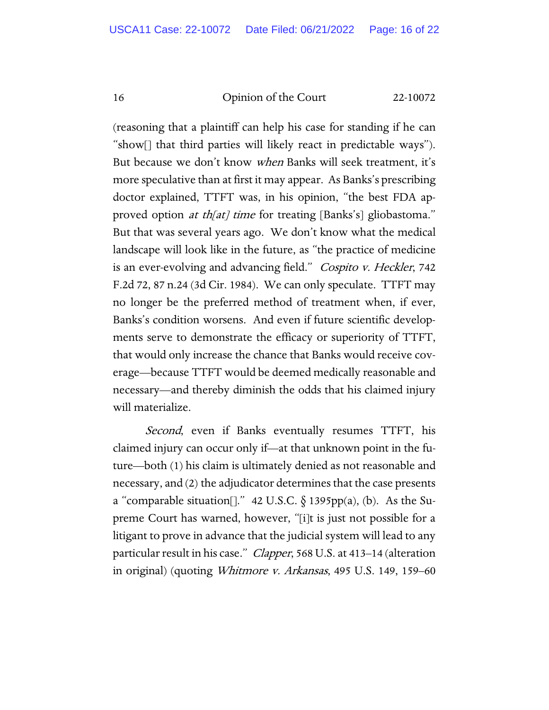(reasoning that a plaintiff can help his case for standing if he can "show[] that third parties will likely react in predictable ways"). But because we don't know when Banks will seek treatment, it's more speculative than at first it may appear. As Banks's prescribing doctor explained, TTFT was, in his opinion, "the best FDA approved option *at th[at] time* for treating [Banks's] gliobastoma." But that was several years ago. We don't know what the medical landscape will look like in the future, as "the practice of medicine is an ever-evolving and advancing field." Cospito v. Heckler, 742 F.2d 72, 87 n.24 (3d Cir. 1984). We can only speculate. TTFT may no longer be the preferred method of treatment when, if ever, Banks's condition worsens. And even if future scientific developments serve to demonstrate the efficacy or superiority of TTFT, that would only increase the chance that Banks would receive coverage—because TTFT would be deemed medically reasonable and necessary—and thereby diminish the odds that his claimed injury will materialize.

*Second*, even if Banks eventually resumes TTFT, his claimed injury can occur only if—at that unknown point in the future—both (1) his claim is ultimately denied as not reasonable and necessary, and (2) the adjudicator determines that the case presents a "comparable situation[]." 42 U.S.C.  $\S$  1395pp(a), (b). As the Supreme Court has warned, however, "[i]t is just not possible for a litigant to prove in advance that the judicial system will lead to any particular result in his case." Clapper, 568 U.S. at 413–14 (alteration in original) (quoting Whitmore v. Arkansas, 495 U.S. 149, 159–60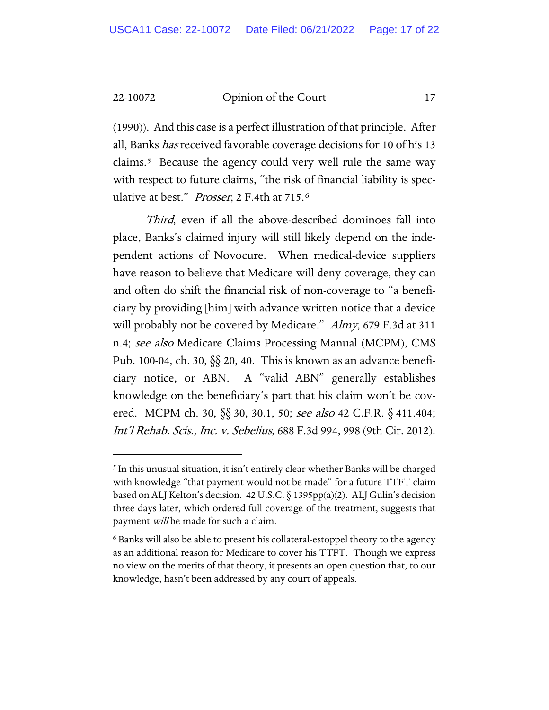(1990)). And this case is a perfect illustration of that principle. After all, Banks *has* received favorable coverage decisions for 10 of his 13 claims.[5](#page-16-0) Because the agency could very well rule the same way with respect to future claims, "the risk of financial liability is speculative at best." Prosser, 2 F.4th at 715.6

Third, even if all the above-described dominoes fall into place, Banks's claimed injury will still likely depend on the independent actions of Novocure. When medical-device suppliers have reason to believe that Medicare will deny coverage, they can and often do shift the financial risk of non-coverage to "a beneficiary by providing [him] with advance written notice that a device will probably not be covered by Medicare." Almy, 679 F.3d at 311 n.4; see also Medicare Claims Processing Manual (MCPM), CMS Pub. 100-04, ch. 30, §§ 20, 40. This is known as an advance beneficiary notice, or ABN. A "valid ABN" generally establishes knowledge on the beneficiary's part that his claim won't be covered. MCPM ch. 30, §§ 30, 30.1, 50; see also 42 C.F.R. § 411.404; Int'l Rehab. Scis., Inc. v. Sebelius, 688 F.3d 994, 998 (9th Cir. 2012).

<span id="page-16-0"></span><sup>&</sup>lt;sup>5</sup> In this unusual situation, it isn't entirely clear whether Banks will be charged with knowledge "that payment would not be made" for a future TTFT claim based on ALJ Kelton's decision. 42 U.S.C. § 1395pp(a)(2). ALJ Gulin's decision three days later, which ordered full coverage of the treatment, suggests that payment will be made for such a claim.

<span id="page-16-1"></span><sup>6</sup> Banks will also be able to present his collateral-estoppel theory to the agency as an additional reason for Medicare to cover his TTFT. Though we express no view on the merits of that theory, it presents an open question that, to our knowledge, hasn't been addressed by any court of appeals.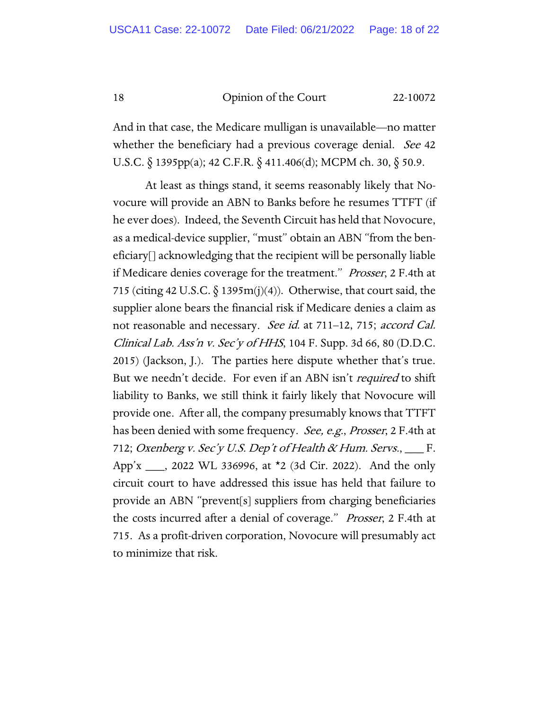And in that case, the Medicare mulligan is unavailable—no matter whether the beneficiary had a previous coverage denial. See 42 U.S.C. § 1395pp(a); 42 C.F.R. § 411.406(d); MCPM ch. 30, § 50.9.

At least as things stand, it seems reasonably likely that Novocure will provide an ABN to Banks before he resumes TTFT (if he ever does). Indeed, the Seventh Circuit has held that Novocure, as a medical-device supplier, "must" obtain an ABN "from the beneficiary[] acknowledging that the recipient will be personally liable if Medicare denies coverage for the treatment." Prosser, 2 F.4th at 715 (citing 42 U.S.C.  $\S$  1395m(j)(4)). Otherwise, that court said, the supplier alone bears the financial risk if Medicare denies a claim as not reasonable and necessary. See id. at 711–12, 715; accord Cal. Clinical Lab. Ass'n v. Sec'y of HHS, 104 F. Supp. 3d 66, 80 (D.D.C. 2015) (Jackson, J.). The parties here dispute whether that's true. But we needn't decide. For even if an ABN isn't *required* to shift liability to Banks, we still think it fairly likely that Novocure will provide one. After all, the company presumably knows that TTFT has been denied with some frequency. See, e.g., Prosser, 2 F.4th at 712; Oxenberg v. Sec'y U.S. Dep't of Health & Hum. Servs., \_\_\_ F. App'x \_\_\_, 2022 WL 336996, at \*2 (3d Cir. 2022). And the only circuit court to have addressed this issue has held that failure to provide an ABN "prevent[s] suppliers from charging beneficiaries the costs incurred after a denial of coverage." Prosser, 2 F.4th at 715. As a profit-driven corporation, Novocure will presumably act to minimize that risk.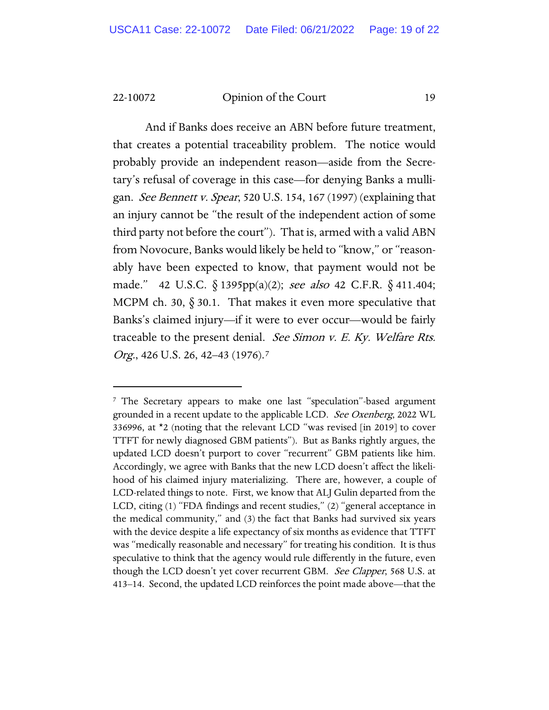And if Banks does receive an ABN before future treatment, that creates a potential traceability problem. The notice would probably provide an independent reason—aside from the Secretary's refusal of coverage in this case—for denying Banks a mulligan. See Bennett v. Spear, 520 U.S. 154, 167 (1997) (explaining that an injury cannot be "the result of the independent action of some third party not before the court"). That is, armed with a valid ABN from Novocure, Banks would likely be held to "know," or "reasonably have been expected to know, that payment would not be made." 42 U.S.C. § 1395pp(a)(2); see also 42 C.F.R. § 411.404; MCPM ch. 30, § 30.1. That makes it even more speculative that Banks's claimed injury—if it were to ever occur—would be fairly traceable to the present denial. See Simon v. E. Ky. Welfare Rts. Org., 426 U.S. 26, 42–43 (19[7](#page-18-0)6).<sup>7</sup>

<span id="page-18-0"></span><sup>7</sup> The Secretary appears to make one last "speculation"-based argument grounded in a recent update to the applicable LCD. See Oxenberg, 2022 WL 336996, at \*2 (noting that the relevant LCD "was revised [in 2019] to cover TTFT for newly diagnosed GBM patients"). But as Banks rightly argues, the updated LCD doesn't purport to cover "recurrent" GBM patients like him. Accordingly, we agree with Banks that the new LCD doesn't affect the likelihood of his claimed injury materializing. There are, however, a couple of LCD-related things to note. First, we know that ALJ Gulin departed from the LCD, citing (1) "FDA findings and recent studies," (2) "general acceptance in the medical community," and (3) the fact that Banks had survived six years with the device despite a life expectancy of six months as evidence that TTFT was "medically reasonable and necessary" for treating his condition. It is thus speculative to think that the agency would rule differently in the future, even though the LCD doesn't yet cover recurrent GBM. See Clapper, 568 U.S. at 413–14. Second, the updated LCD reinforces the point made above—that the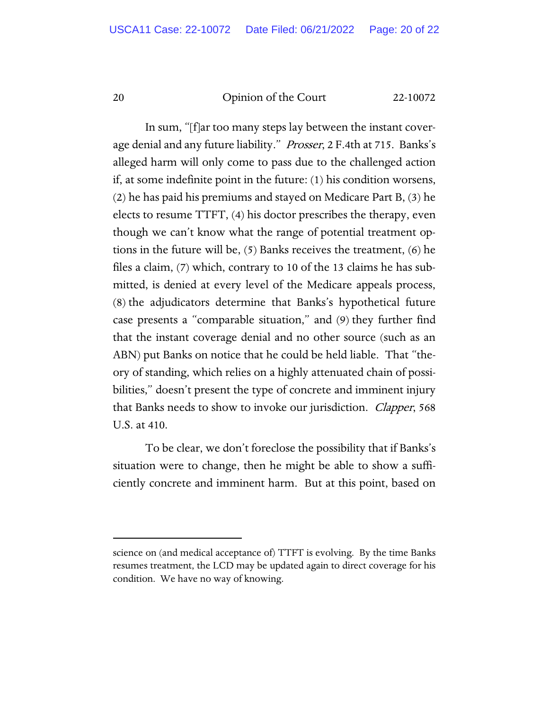In sum, "[f]ar too many steps lay between the instant coverage denial and any future liability." Prosser, 2 F.4th at 715. Banks's alleged harm will only come to pass due to the challenged action if, at some indefinite point in the future: (1) his condition worsens, (2) he has paid his premiums and stayed on Medicare Part B, (3) he elects to resume TTFT, (4) his doctor prescribes the therapy, even though we can't know what the range of potential treatment options in the future will be, (5) Banks receives the treatment, (6) he files a claim, (7) which, contrary to 10 of the 13 claims he has submitted, is denied at every level of the Medicare appeals process, (8) the adjudicators determine that Banks's hypothetical future case presents a "comparable situation," and (9) they further find that the instant coverage denial and no other source (such as an ABN) put Banks on notice that he could be held liable. That "theory of standing, which relies on a highly attenuated chain of possibilities," doesn't present the type of concrete and imminent injury that Banks needs to show to invoke our jurisdiction. *Clapper*, 568 U.S. at 410.

To be clear, we don't foreclose the possibility that if Banks's situation were to change, then he might be able to show a sufficiently concrete and imminent harm. But at this point, based on

science on (and medical acceptance of) TTFT is evolving. By the time Banks resumes treatment, the LCD may be updated again to direct coverage for his condition. We have no way of knowing.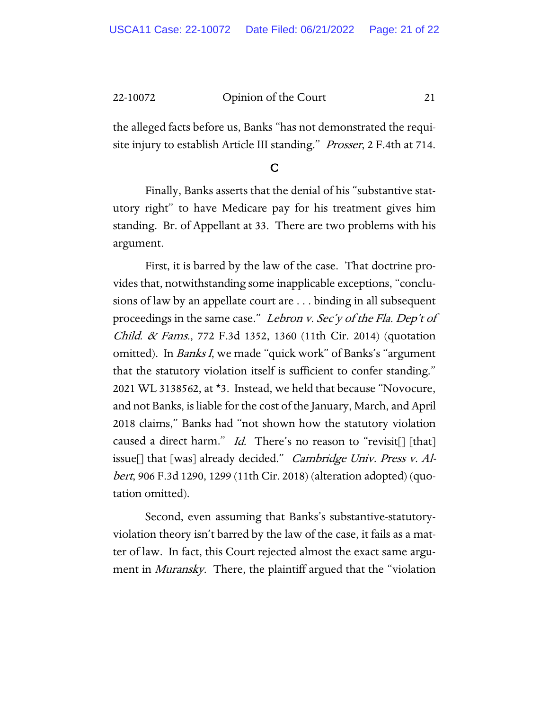the alleged facts before us, Banks "has not demonstrated the requisite injury to establish Article III standing." *Prosser*, 2 F.4th at 714.

C

Finally, Banks asserts that the denial of his "substantive statutory right" to have Medicare pay for his treatment gives him standing. Br. of Appellant at 33. There are two problems with his argument.

First, it is barred by the law of the case. That doctrine provides that, notwithstanding some inapplicable exceptions, "conclusions of law by an appellate court are . . . binding in all subsequent proceedings in the same case." Lebron v. Sec'y of the Fla. Dep't of *Child. & Fams.*, 772 F.3d 1352, 1360 (11th Cir. 2014) (quotation omitted). In Banks I, we made "quick work" of Banks's "argument that the statutory violation itself is sufficient to confer standing." 2021 WL 3138562, at \*3. Instead, we held that because "Novocure, and not Banks, is liable for the cost of the January, March, and April 2018 claims," Banks had "not shown how the statutory violation caused a direct harm." Id. There's no reason to "revisit<sup>[]</sup> [that] issue[] that [was] already decided." Cambridge Univ. Press v. Albert, 906 F.3d 1290, 1299 (11th Cir. 2018) (alteration adopted) (quotation omitted).

Second, even assuming that Banks's substantive-statutoryviolation theory isn't barred by the law of the case, it fails as a matter of law. In fact, this Court rejected almost the exact same argument in *Muransky*. There, the plaintiff argued that the "violation"